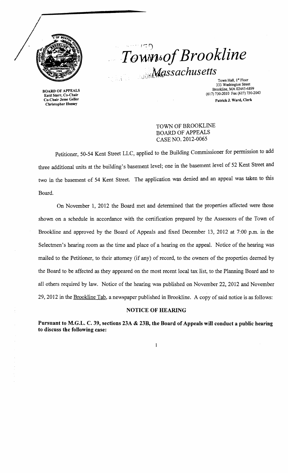

BOARD OF APPEALS Enid Starr, Co-Chair Co-Chair Jesse Geller Christopher Hussey

# $\cdot$   $\cdot$   $\cdot$   $\cdot$ *Town6oj Brookline*  de de Massachusetts

Town Hall, 1" Floor 333 Washington Street Brookline, MA 02445-6899 (617)730-2010 Fax (617) 730-2043 Patrick J. Ward, Clerk

## TOWN OF BROOKLINE BOARD OF APPEALS CASE NO. 2012-0065

Petitioner, 50-54 Kent Street LLC, applied to the Building Commissioner for permission to add three additional units at the building's basement level; one in the basement level of 52 Kent Street and two in the basement of 54 Kent Street. The application was denied and an appeal was taken to this Board.

On November 1, 2012 the Board met and determined that the properties affected were those shown on a schedule in accordance with the certification prepared by the Assessors of the Town of Brookline and approved by the Board of Appeals and fixed December 13, 2012 at 7:00 p.m. in the Selectmen's hearing room as the time and place of a hearing on the appeal. Notice of the hearing was mailed to the Petitioner, to their attorney (if any) of record, to the owners of the properties deemed by the Board to be affected as they appeared on the most recent local tax list, to the Planning Board and to all others required by law. Notice of the hearing was published on November 22, 2012 and November 29, 2012 in the Brookline Tab, a newspaper published in Brookline. A copy of said notice is as follows:

### NOTICE OF HEARING

Pursuant to M.G.L. C. 39, sections 23A & 23B, the Board of Appeals will conduct a public hearing to discuss the following case:

 $\mathbf 1$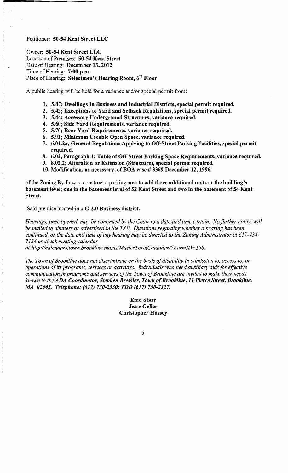#### Petitioner: 50-54 Kent Street LLC

Owner: 50-54 Kent Street LLC Location of Premises: 50-54 Kent Street Date of Hearing: December 13, 2012 Time of Hearing:  $7:00$  p.m. Place of Hearing: Selectmen's Hearing Room, 6<sup>th</sup> Floor

A public hearing will be held for a variance and/or special permit from:

- 1. 5.07; Dwellings In Business and Industrial Districts, special permit required.
- 2. 5.43; Exceptions to Yard and Setback Regulations, special permit required.
- 3. 5.44; Accessory Underground Structures, variance required.
- 4. 5.60; Side Yard Requirements, variance required.
- 5. 5.70; Rear Yard Requirements, variance required.
- 6. 5.91; Minimum Useable Open Space, variance required.
- 7. 6.01.2a; General Regulations Applying to Off-Street Parking Facilities, special permit required.
- 8. 6.02, Paragraph 1; Table of Off-Street Parking Space Requirements, variance required.
- 9. 8.02.2; Alteration or Extension (Structure), special permit required.
- 10. Modification, as necessary, of BOA case # 3369 December 12, 1996.

of the Zoning By-Law to construct a parking area to add three additional units at the building's basement level; one in the basement level of 52 Kent Street and two in the basement of 54 Kent Street.

Said premise located in a G-2.0 Business district.

*Hearings, once opened, may be continued by the Chair to a date and time certain. No Jurther notice will be mailed to abutters or advertised in the TAB. Questions regarding whether a hearing has been continued, or the date and time ojany hearing may be directed to the Zoning Administrator at 617-734 2134 or check meeting calendar* 

*at:http://calendars.town.brookline.ma.usIMasterTownCalandarl? FormID= 158.* 

The Town of Brookline does not discriminate on the basis of disability in admission to, access to, or *operations ojits programs, services or activities. Individuals who need auxiliary aids Jor effective*  communication in programs and services of the Town of Brookline are invited to make their needs *known to the* ADA *Coordinator, Stephen Bressler, Town \_of Brookline,* 11 *Pierce Street, Brookline,*  .M4 *02445. Telephone:* (617) *730-2330; TDD* (617) *730-2327.* 

> Enid Starr Jesse Geller Christopher Hussey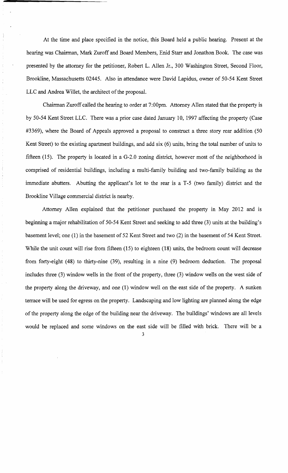At the time and place specified in the notice, this Board held a public hearing. Present at the hearing was Chairman, Mark Zuroff and Board Members, Enid Starr and Jonathon Book. The case was presented by the attorney for the petitioner, Robert L. Allen Jr., 300 Washington Street, Second Floor, Brookline, Massachusetts 02445. Also in attendance were David Lapidus, owner of 50~54 Kent Street LLC and Andrea Willet, the architect of the proposal.

Chairman Zuroff called the hearing to order at 7:00pm. Attorney Allen stated that the property is by 50~54 Kent Street LLC. There was a prior case dated January 10, 1997 affecting the property (Case #3369), where the Board of Appeals approved a proposal to construct a three story rear addition (50 Kent Street) to the existing apartment buildings, and add six (6) units, bring the total number of units to fifteen (15). The property is located in a G-2.0 zoning district, however most of the neighborhood is comprised of residential buildings, including a multi-family building and two~family building as the immediate abutters. Abutting the applicant's lot to the rear is a T-5 (two family) district and the Brookline Village commercial district is nearby.

Attorney Allen explained that the petitioner purchased the property in May 2012 and is beginning a major rehabilitation of 50-54 Kent Street and seeking to add three (3) units at the building's basement level; one (1) in the basement of 52 Kent Street and two (2) in the basement of 54 Kent Street. While the unit count will rise from fifteen (15) to eighteen (18) units, the bedroom count will decrease from forty-eight (48) to thirty-nine (39), resulting in a nine (9) bedroom deduction. The proposal includes three (3) window wells in the front of the property, three (3) window wells on the west side of the property along the driveway, and one (1) window well on the east side of the property. A sunken terrace will be used for egress on the property. Landscaping and low lighting are planned along the edge of the property along the edge of the building near the driveway. The buildings' windows are all levels would be replaced and some windows on the east side will be filled with brick. There will be a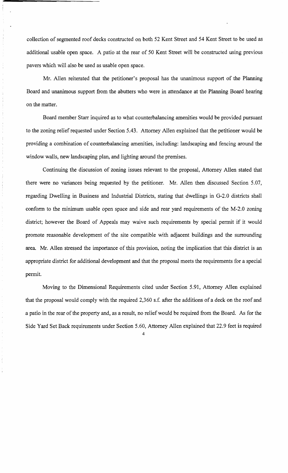collection of segmented roof decks constructed on both 52 Kent Street and 54 Kent Street to be used as additional usable open space. A patio at the rear of 50 Kent Street will be constructed using previous pavers which will also be used as usable open space.

Mr. Allen reiterated that the petitioner's proposal has the unanimous support of the Planning Board and unanimous support from the abutters who were in attendance at the Planning Board hearing on the matter.

Board member Starr inquired as to what counterbalancing amenities would be provided pursuant to the zoning relief requested under Section 5.43. Attorney Allen explained that the petitioner would be providing a combination of counterbalancing amenities, including: landscaping and fencing around the window walls, new landscaping plan, and lighting around the premises.

Continuing the discussion of zoning issues relevant to the proposal, Attorney Allen stated that there were no variances being requested by the petitioner. Mr. Allen then discussed Section 5.07, regarding Dwelling in Business and Industrial Districts, stating that dwellings in G-2.0 districts shall conform to the minimum usable open space and side and rear yard requirements of the M-2.0 zoning district; however the Board of Appeals may waive such requirements by special permit if it would promote reasonable development of the site compatible with adjacent buildings and the surrounding area. Mr. Allen stressed the importance of this provision, noting the implication that this district is an appropriate district for additional development and that the proposal meets the requirements for a special permit.

Moving to the Dimensional Requirements cited under Section 5.91, Attorney Allen explained that the proposal would comply with the required 2,360 s.f. after the additions of a deck on the roof and a patio in the rear of the property and, as a result, no relief would be required from the Board. As for the Side Yard Set Back requirements under Section 5.60, Attorney Allen explained that 22.9 feet is required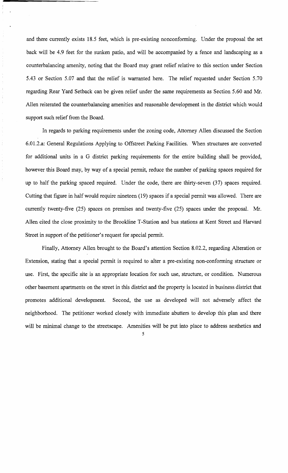and there currently exists 18.5 feet, which is pre-existing nonconforming. Under the proposal the set back will be 4.9 feet for the sunken patio, and will be accompanied by a fence and landscaping as a counterbalancing amenity, noting that the Board may grant relief relative to this section under Section 5.43 or Section 5.07 and that the relief is warranted here. The relief requested under Section 5.70 regarding Rear Yard Setback can be given relief under the same requirements as Section 5.60 and Mr. Allen reiterated the counterbalancing amenities and reasonable development in the district which would support such relief from the Board.

In regards to parking requirements under the zoning code, Attorney Allen discussed the Section 6.01.2.a: General Regulations Applying to Offstreet Parking Facilities. When structures are converted for additional units in a G district parking requirements for the entire building shall be provided, however this Board may, by way of a special permit, reduce the number of parking spaces required for up to half the parking spaced required. Under the code, there are thirty-seven (37) spaces required. Cutting that figure in half would require nineteen (19) spaces if a special permit was allowed. There are currently twenty-five (25) spaces on premises and twenty-five (25) spaces under the proposal. Mr. Allen cited the close proximity to the Brookline T -Station and bus stations at Kent Street and Harvard Street in support of the petitioner's request for special permit.

Finally, Attorney Allen brought to the Board's attention Section 8.02.2, regarding Alteration or Extension, stating that a special permit is required to alter a pre-existing non-conforming structure or use. First, the specific site is an appropriate location for such use, structure, or condition. Numerous other basement apartments on the street in this district and the property is located in business district that promotes additional development. Second, the use as developed will not adversely affect the neighborhood. The petitioner worked closely with immediate abutters to develop this plan and there will be minimal change to the streetscape. Amenities will be put into place to address aesthetics and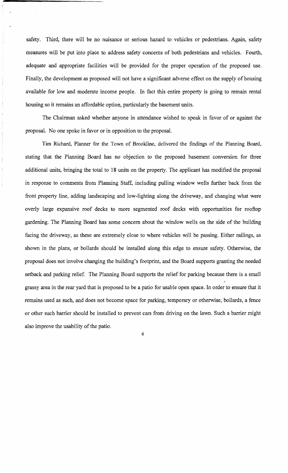safety. Third, there will be no nuisance or serious hazard to vehicles or pedestrians. Again, safety measures will be put into place to address safety concerns of both pedestrians and vehicles. Fourth, adequate and appropriate facilities will be provided for the proper operation of the proposed use. Finally, the development as proposed will not have a significant adverse effect on the supply of housing available for low and moderate income people. In fact this entire property is going to remain rental housing so it remains an affordable option, particularly the basement units.

The Chairman asked whether anyone in attendance wished to speak in favor of or against the proposal. No one spoke in favor or in opposition to the proposal.

Tim Richard, Planner for the Town of Brookline, delivered the findings of the Planning Board, stating that the Planning Board has no objection to the proposed basement conversion for three additional units, bringing the total to 18 units on the property. The applicant has modified the proposal in response to comments from Planning Staff, including pulling window wells further back from the front property line, adding landscaping and low-lighting along the driveway, and changing what were overly large expansive roof decks to more segmented roof decks with opportunities for rooftop gardening. The Planning Board has some concern about the window wells on the side of the building facing the driveway, as these are extremely close to where vehicles will be passing. Either railings, as shown in the plans, or bollards should be installed along this edge to ensure safety. Otherwise, the proposal does not involve changing the building's footprint, and the Board supports granting the needed setback and parking relief. The Planning Board supports the relief for parking because there is a small grassy area in the rear yard that is proposed to be a patio for usable open space. In order to ensure that it remains used as such, and does not become space for parking, temporary or otherwise, bollards, a fence or other such barrier should be installed to prevent cars from driving on the lawn. Such a barrier might also improve the usability of the patio.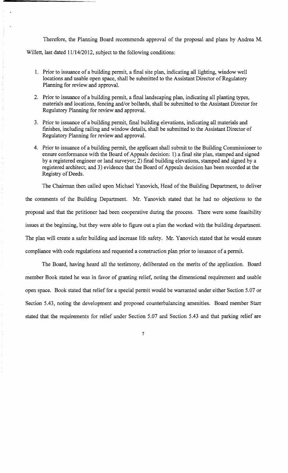Therefore, the Planning Board recommends approval of the proposal and plans by Andrea M.

Willett, last dated 11/14/2012, subject to the following conditions:

- 1. Prior to issuance of a building permit, a final site plan, indicating all lighting, window well locations and usable open space, shall be submitted to the Assistant Director of Regulatory Planning for review and approval.
- 2. Prior to issuance of a building permit, a final landscaping plan, indicating all planting types, materials and locations, fencing and/or bollards, shall be submitted to the Assistant Director for Regulatory Planning for review and approval.
- 3. Prior to issuance of a building permit, final building elevations, indicating all materials and fmishes, including railing and window details, shall be submitted to the Assistant Director of Regulatory Planning for review and approvaL
- 4. Prior to issuance of a building permit, the applicant shall submit to the Building Commissioner to ensure conformance with the Board of Appeals decision: 1) a final site plan, stamped and signed by a registered engineer or land surveyor; 2) final building elevations, stamped and signed by a registered architect; and 3) evidence that the Board of Appeals decision has been recorded at the Registry of Deeds.

The Chairman then called upon Michael Yanovich, Head of the Building Department, to deliver the comments of the Building Department. Mr. Yanovich stated that he had no objections to the proposal and that the petitioner had been cooperative during the process. There were some feasibility issues at the beginning, but they were able to figure out a plan the worked with the building department. The plan will create a safer building and increase life safety. Mr. Yanovich stated that he would ensure compliance with code regulations and requested a construction plan prior to issuance of a permit.

The Board, having heard all the testimony, deliberated on the merits of the application. Board member Book stated he was in favor of granting relief, noting the dimensional requirement and usable open space. Book stated that relief for a special permit would be warranted under either Section 5.07 or Section 5.43, noting the development and proposed counterbalancing amenities. Board member Starr stated that the requirements for relief under Section 5.07 and Section 5.43 and that parking relief are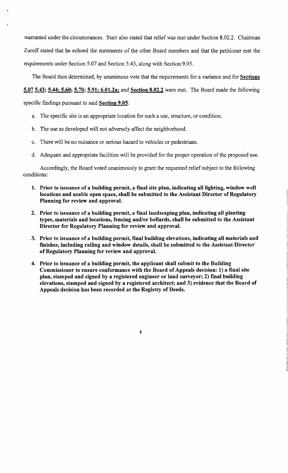warranted under the circumstances. Starr also stated that relief was met under Section 8.02.2. Chairman Zuroff stated that he echoed the statements of the other Board members and that the petitioner met the requirements under Section 5.07 and Section 5.43, along with Section 9.05.

The Board then determined, by unanimous vote that the requirements for a variance and for Sections

## 5.07 5.43; 5.44; 5.60; 5.70; 5.91; 6.01.2a; and Section 8.02.2 were met. The Board made the following

specific findings pursuant to said Section 9.05:

- a. The specific site is an appropriate location for such a use, structure, or condition.
- b. The use as developed will not adversely affect the neighborhood.
- c. There will be no nuisance or serious hazard to vehicles or pedestrians.
- d. Adequate and appropriate facilities will be provided for the proper operation of the proposed use.

Accordingly, the Board voted unanimously to grant the requested relief subject to the following conditions:

- 1. Prior to issuance of a building permit, a fmal site plan, indicating all lighting, window well locations and usable open space, shall be submitted to the Assistant Director of Regulatory Planning for review and approval.
- 2. Prior to issuance of a building permit, a final landscaping plan, indicating all planting types, materials and locations, fencing and/or bollards, shall be submitted to the Assistant Director for Regulatory Planning for review and approval.
- 3. Prior to issuance of a building permit, final building elevations, indicating all materials and fmishes, including railing and window details, shall be submitted to the Assistant Director of Regulatory Planning for review and approval.
- 4. Prior to issuance of a building permit, the applicant shall submit to the Building Commissioner to ensure conformance with the Board of Appeals decision: 1) a final site plan, stamped and signed by a registered engineer or land surveyor; 2) fmal building elevations, stamped and signed by a registered architect; and 3) evidence that the Board of Appeals decision has been recorded at the Registry of Deeds.